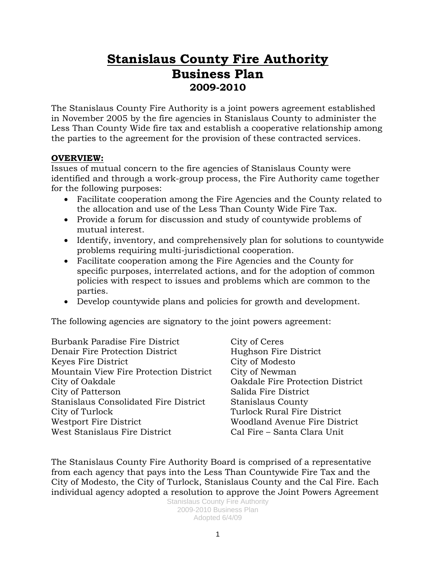# **Stanislaus County Fire Authority Business Plan 2009-2010**

The Stanislaus County Fire Authority is a joint powers agreement established in November 2005 by the fire agencies in Stanislaus County to administer the Less Than County Wide fire tax and establish a cooperative relationship among the parties to the agreement for the provision of these contracted services.

### **OVERVIEW:**

Issues of mutual concern to the fire agencies of Stanislaus County were identified and through a work-group process, the Fire Authority came together for the following purposes:

- Facilitate cooperation among the Fire Agencies and the County related to the allocation and use of the Less Than County Wide Fire Tax.
- Provide a forum for discussion and study of countywide problems of mutual interest.
- Identify, inventory, and comprehensively plan for solutions to countywide problems requiring multi-jurisdictional cooperation.
- Facilitate cooperation among the Fire Agencies and the County for specific purposes, interrelated actions, and for the adoption of common policies with respect to issues and problems which are common to the parties.
- Develop countywide plans and policies for growth and development.

The following agencies are signatory to the joint powers agreement:

Burbank Paradise Fire District City of Ceres Denair Fire Protection District Hughson Fire District Keyes Fire District City of Modesto Mountain View Fire Protection District City of Newman City of Oakdale Oakdale Fire Protection District City of Patterson Salida Fire District Stanislaus Consolidated Fire District Stanislaus County City of Turlock Turlock Rural Fire District Westport Fire District Woodland Avenue Fire District West Stanislaus Fire District Cal Fire – Santa Clara Unit

The Stanislaus County Fire Authority Board is comprised of a representative from each agency that pays into the Less Than Countywide Fire Tax and the City of Modesto, the City of Turlock, Stanislaus County and the Cal Fire. Each individual agency adopted a resolution to approve the Joint Powers Agreement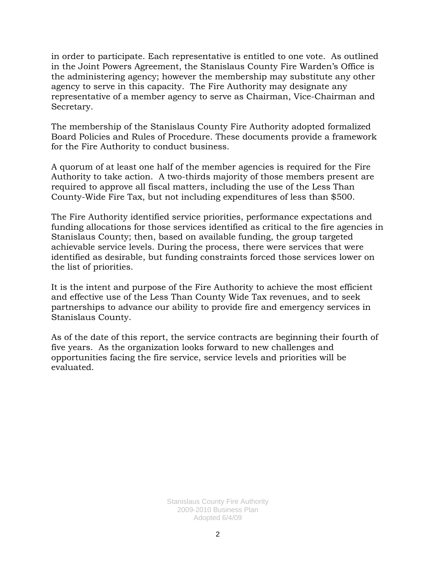in order to participate. Each representative is entitled to one vote. As outlined in the Joint Powers Agreement, the Stanislaus County Fire Warden's Office is the administering agency; however the membership may substitute any other agency to serve in this capacity. The Fire Authority may designate any representative of a member agency to serve as Chairman, Vice-Chairman and Secretary.

The membership of the Stanislaus County Fire Authority adopted formalized Board Policies and Rules of Procedure. These documents provide a framework for the Fire Authority to conduct business.

A quorum of at least one half of the member agencies is required for the Fire Authority to take action. A two-thirds majority of those members present are required to approve all fiscal matters, including the use of the Less Than County-Wide Fire Tax, but not including expenditures of less than \$500.

The Fire Authority identified service priorities, performance expectations and funding allocations for those services identified as critical to the fire agencies in Stanislaus County; then, based on available funding, the group targeted achievable service levels. During the process, there were services that were identified as desirable, but funding constraints forced those services lower on the list of priorities.

It is the intent and purpose of the Fire Authority to achieve the most efficient and effective use of the Less Than County Wide Tax revenues, and to seek partnerships to advance our ability to provide fire and emergency services in Stanislaus County.

As of the date of this report, the service contracts are beginning their fourth of five years. As the organization looks forward to new challenges and opportunities facing the fire service, service levels and priorities will be evaluated.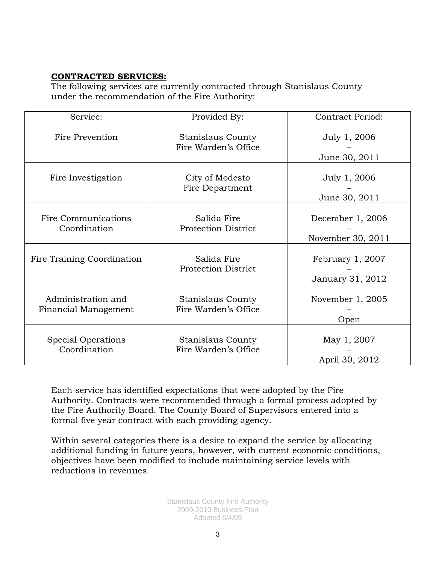#### **CONTRACTED SERVICES:**

The following services are currently contracted through Stanislaus County under the recommendation of the Fire Authority:

| Service:                                   | Provided By:                                     | <b>Contract Period:</b>               |  |
|--------------------------------------------|--------------------------------------------------|---------------------------------------|--|
| Fire Prevention                            | Stanislaus County<br>Fire Warden's Office        | July 1, 2006<br>June 30, 2011         |  |
| Fire Investigation                         | City of Modesto<br>Fire Department               | July 1, 2006<br>June 30, 2011         |  |
| Fire Communications<br>Coordination        | Salida Fire<br><b>Protection District</b>        | December 1, 2006<br>November 30, 2011 |  |
| Fire Training Coordination                 | Salida Fire<br><b>Protection District</b>        | February 1, 2007<br>January 31, 2012  |  |
| Administration and<br>Financial Management | <b>Stanislaus County</b><br>Fire Warden's Office | November $1, 2005$<br>Open            |  |
| Special Operations<br>Coordination         | Stanislaus County<br>Fire Warden's Office        | May 1, 2007<br>April 30, 2012         |  |

Each service has identified expectations that were adopted by the Fire Authority. Contracts were recommended through a formal process adopted by the Fire Authority Board. The County Board of Supervisors entered into a formal five year contract with each providing agency.

Within several categories there is a desire to expand the service by allocating additional funding in future years, however, with current economic conditions, objectives have been modified to include maintaining service levels with reductions in revenues.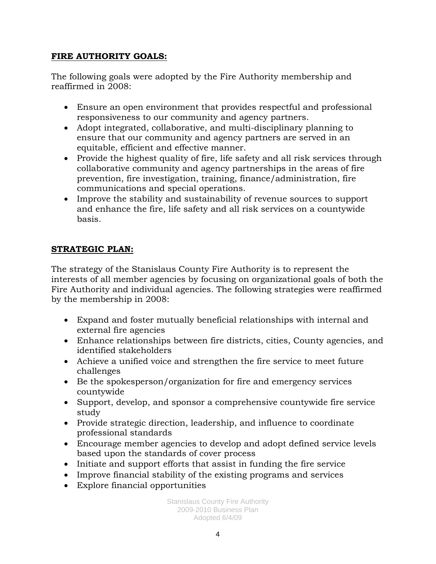### **FIRE AUTHORITY GOALS:**

The following goals were adopted by the Fire Authority membership and reaffirmed in 2008:

- Ensure an open environment that provides respectful and professional responsiveness to our community and agency partners.
- Adopt integrated, collaborative, and multi-disciplinary planning to ensure that our community and agency partners are served in an equitable, efficient and effective manner.
- Provide the highest quality of fire, life safety and all risk services through collaborative community and agency partnerships in the areas of fire prevention, fire investigation, training, finance/administration, fire communications and special operations.
- Improve the stability and sustainability of revenue sources to support and enhance the fire, life safety and all risk services on a countywide basis.

## **STRATEGIC PLAN:**

The strategy of the Stanislaus County Fire Authority is to represent the interests of all member agencies by focusing on organizational goals of both the Fire Authority and individual agencies. The following strategies were reaffirmed by the membership in 2008:

- Expand and foster mutually beneficial relationships with internal and external fire agencies
- Enhance relationships between fire districts, cities, County agencies, and identified stakeholders
- Achieve a unified voice and strengthen the fire service to meet future challenges
- Be the spokesperson/organization for fire and emergency services countywide
- Support, develop, and sponsor a comprehensive countywide fire service study
- Provide strategic direction, leadership, and influence to coordinate professional standards
- Encourage member agencies to develop and adopt defined service levels based upon the standards of cover process
- Initiate and support efforts that assist in funding the fire service
- Improve financial stability of the existing programs and services
- Explore financial opportunities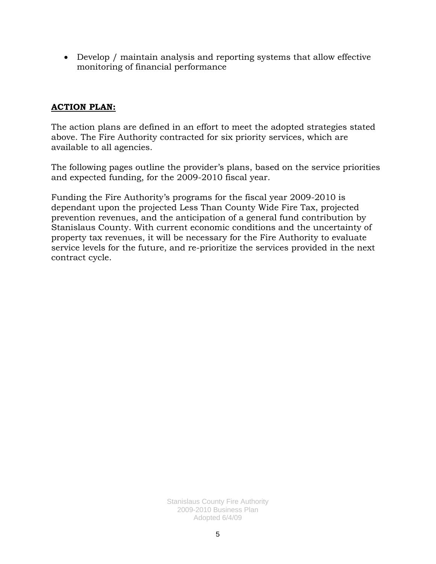• Develop / maintain analysis and reporting systems that allow effective monitoring of financial performance

### **ACTION PLAN:**

The action plans are defined in an effort to meet the adopted strategies stated above. The Fire Authority contracted for six priority services, which are available to all agencies.

The following pages outline the provider's plans, based on the service priorities and expected funding, for the 2009-2010 fiscal year.

Funding the Fire Authority's programs for the fiscal year 2009-2010 is dependant upon the projected Less Than County Wide Fire Tax, projected prevention revenues, and the anticipation of a general fund contribution by Stanislaus County. With current economic conditions and the uncertainty of property tax revenues, it will be necessary for the Fire Authority to evaluate service levels for the future, and re-prioritize the services provided in the next contract cycle.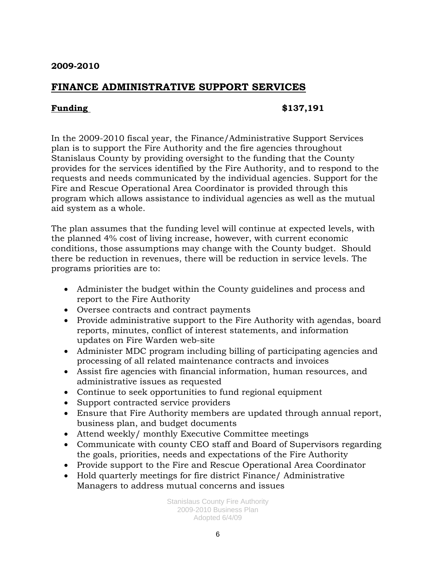## **FINANCE ADMINISTRATIVE SUPPORT SERVICES**

#### **Funding \$137,191**

In the 2009-2010 fiscal year, the Finance/Administrative Support Services plan is to support the Fire Authority and the fire agencies throughout Stanislaus County by providing oversight to the funding that the County provides for the services identified by the Fire Authority, and to respond to the requests and needs communicated by the individual agencies. Support for the Fire and Rescue Operational Area Coordinator is provided through this program which allows assistance to individual agencies as well as the mutual aid system as a whole.

The plan assumes that the funding level will continue at expected levels, with the planned 4% cost of living increase, however, with current economic conditions, those assumptions may change with the County budget. Should there be reduction in revenues, there will be reduction in service levels. The programs priorities are to:

- Administer the budget within the County guidelines and process and report to the Fire Authority
- Oversee contracts and contract payments
- Provide administrative support to the Fire Authority with agendas, board reports, minutes, conflict of interest statements, and information updates on Fire Warden web-site
- Administer MDC program including billing of participating agencies and processing of all related maintenance contracts and invoices
- Assist fire agencies with financial information, human resources, and administrative issues as requested
- Continue to seek opportunities to fund regional equipment
- Support contracted service providers
- Ensure that Fire Authority members are updated through annual report, business plan, and budget documents
- Attend weekly/ monthly Executive Committee meetings
- Communicate with county CEO staff and Board of Supervisors regarding the goals, priorities, needs and expectations of the Fire Authority
- Provide support to the Fire and Rescue Operational Area Coordinator
- Hold quarterly meetings for fire district Finance/ Administrative Managers to address mutual concerns and issues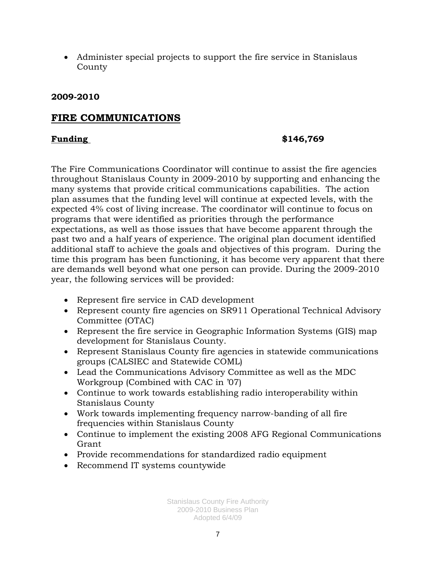• Administer special projects to support the fire service in Stanislaus County

### **2009-2010**

## **FIRE COMMUNICATIONS**

#### **Funding \$146,769**

The Fire Communications Coordinator will continue to assist the fire agencies throughout Stanislaus County in 2009-2010 by supporting and enhancing the many systems that provide critical communications capabilities. The action plan assumes that the funding level will continue at expected levels, with the expected 4% cost of living increase. The coordinator will continue to focus on programs that were identified as priorities through the performance expectations, as well as those issues that have become apparent through the past two and a half years of experience. The original plan document identified additional staff to achieve the goals and objectives of this program. During the time this program has been functioning, it has become very apparent that there are demands well beyond what one person can provide. During the 2009-2010 year, the following services will be provided:

- Represent fire service in CAD development
- Represent county fire agencies on SR911 Operational Technical Advisory Committee (OTAC)
- Represent the fire service in Geographic Information Systems (GIS) map development for Stanislaus County.
- Represent Stanislaus County fire agencies in statewide communications groups (CALSIEC and Statewide COML)
- Lead the Communications Advisory Committee as well as the MDC Workgroup (Combined with CAC in '07)
- Continue to work towards establishing radio interoperability within Stanislaus County
- Work towards implementing frequency narrow-banding of all fire frequencies within Stanislaus County
- Continue to implement the existing 2008 AFG Regional Communications Grant
- Provide recommendations for standardized radio equipment
- Recommend IT systems countywide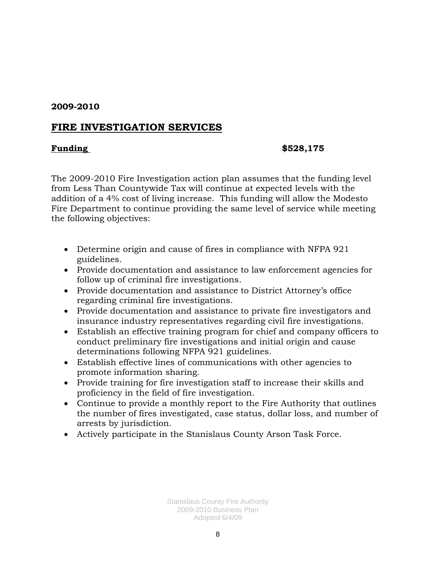## **FIRE INVESTIGATION SERVICES**

#### **Funding \$528,175**

The 2009-2010 Fire Investigation action plan assumes that the funding level from Less Than Countywide Tax will continue at expected levels with the addition of a 4% cost of living increase. This funding will allow the Modesto Fire Department to continue providing the same level of service while meeting the following objectives:

- Determine origin and cause of fires in compliance with NFPA 921 guidelines.
- Provide documentation and assistance to law enforcement agencies for follow up of criminal fire investigations.
- Provide documentation and assistance to District Attorney's office regarding criminal fire investigations.
- Provide documentation and assistance to private fire investigators and insurance industry representatives regarding civil fire investigations.
- Establish an effective training program for chief and company officers to conduct preliminary fire investigations and initial origin and cause determinations following NFPA 921 guidelines.
- Establish effective lines of communications with other agencies to promote information sharing.
- Provide training for fire investigation staff to increase their skills and proficiency in the field of fire investigation.
- Continue to provide a monthly report to the Fire Authority that outlines the number of fires investigated, case status, dollar loss, and number of arrests by jurisdiction.
- Actively participate in the Stanislaus County Arson Task Force.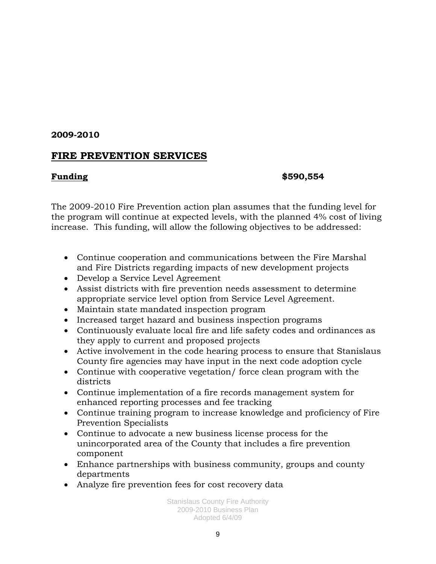## **FIRE PREVENTION SERVICES**

#### **Funding \$590,554**

The 2009-2010 Fire Prevention action plan assumes that the funding level for the program will continue at expected levels, with the planned 4% cost of living increase. This funding, will allow the following objectives to be addressed:

- Continue cooperation and communications between the Fire Marshal and Fire Districts regarding impacts of new development projects
- Develop a Service Level Agreement
- Assist districts with fire prevention needs assessment to determine appropriate service level option from Service Level Agreement.
- Maintain state mandated inspection program
- Increased target hazard and business inspection programs
- Continuously evaluate local fire and life safety codes and ordinances as they apply to current and proposed projects
- Active involvement in the code hearing process to ensure that Stanislaus County fire agencies may have input in the next code adoption cycle
- Continue with cooperative vegetation/ force clean program with the districts
- Continue implementation of a fire records management system for enhanced reporting processes and fee tracking
- Continue training program to increase knowledge and proficiency of Fire Prevention Specialists
- Continue to advocate a new business license process for the unincorporated area of the County that includes a fire prevention component
- Enhance partnerships with business community, groups and county departments
- Analyze fire prevention fees for cost recovery data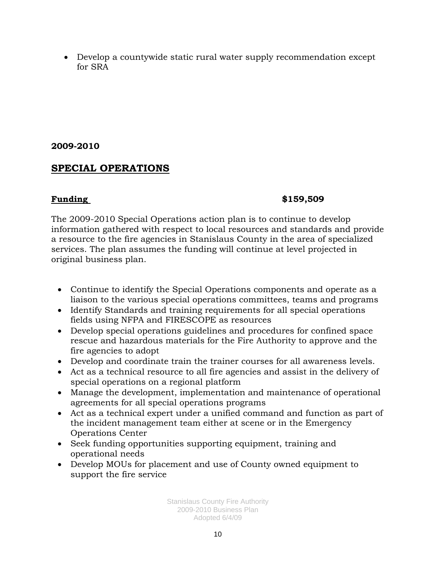• Develop a countywide static rural water supply recommendation except for SRA

### **2009-2010**

## **SPECIAL OPERATIONS**

## **Funding \$159,509**

The 2009-2010 Special Operations action plan is to continue to develop information gathered with respect to local resources and standards and provide a resource to the fire agencies in Stanislaus County in the area of specialized services. The plan assumes the funding will continue at level projected in original business plan.

- Continue to identify the Special Operations components and operate as a liaison to the various special operations committees, teams and programs
- Identify Standards and training requirements for all special operations fields using NFPA and FIRESCOPE as resources
- Develop special operations guidelines and procedures for confined space rescue and hazardous materials for the Fire Authority to approve and the fire agencies to adopt
- Develop and coordinate train the trainer courses for all awareness levels.
- Act as a technical resource to all fire agencies and assist in the delivery of special operations on a regional platform
- Manage the development, implementation and maintenance of operational agreements for all special operations programs
- Act as a technical expert under a unified command and function as part of the incident management team either at scene or in the Emergency Operations Center
- Seek funding opportunities supporting equipment, training and operational needs
- Develop MOUs for placement and use of County owned equipment to support the fire service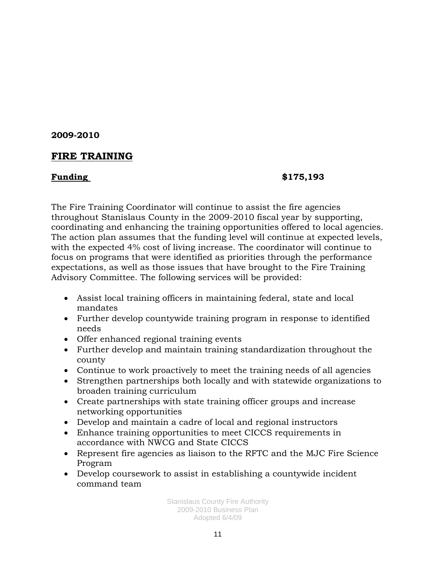## **FIRE TRAINING**

### **Funding \$175,193**

The Fire Training Coordinator will continue to assist the fire agencies throughout Stanislaus County in the 2009-2010 fiscal year by supporting, coordinating and enhancing the training opportunities offered to local agencies. The action plan assumes that the funding level will continue at expected levels, with the expected 4% cost of living increase. The coordinator will continue to focus on programs that were identified as priorities through the performance expectations, as well as those issues that have brought to the Fire Training Advisory Committee. The following services will be provided:

- Assist local training officers in maintaining federal, state and local mandates
- Further develop countywide training program in response to identified needs
- Offer enhanced regional training events
- Further develop and maintain training standardization throughout the county
- Continue to work proactively to meet the training needs of all agencies
- Strengthen partnerships both locally and with statewide organizations to broaden training curriculum
- Create partnerships with state training officer groups and increase networking opportunities
- Develop and maintain a cadre of local and regional instructors
- Enhance training opportunities to meet CICCS requirements in accordance with NWCG and State CICCS
- Represent fire agencies as liaison to the RFTC and the MJC Fire Science Program
- Develop coursework to assist in establishing a countywide incident command team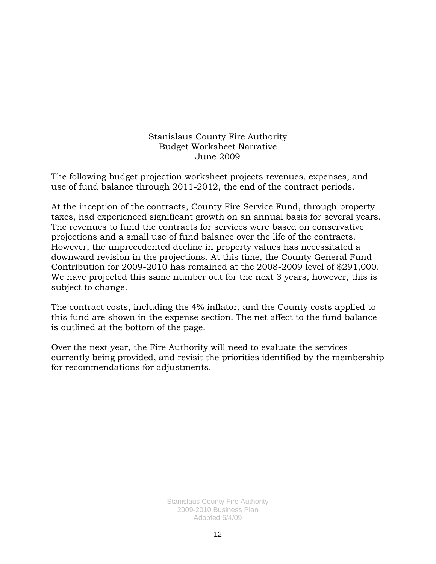#### Stanislaus County Fire Authority Budget Worksheet Narrative June 2009

The following budget projection worksheet projects revenues, expenses, and use of fund balance through 2011-2012, the end of the contract periods.

At the inception of the contracts, County Fire Service Fund, through property taxes, had experienced significant growth on an annual basis for several years. The revenues to fund the contracts for services were based on conservative projections and a small use of fund balance over the life of the contracts. However, the unprecedented decline in property values has necessitated a downward revision in the projections. At this time, the County General Fund Contribution for 2009-2010 has remained at the 2008-2009 level of \$291,000. We have projected this same number out for the next 3 years, however, this is subject to change.

The contract costs, including the 4% inflator, and the County costs applied to this fund are shown in the expense section. The net affect to the fund balance is outlined at the bottom of the page.

Over the next year, the Fire Authority will need to evaluate the services currently being provided, and revisit the priorities identified by the membership for recommendations for adjustments.